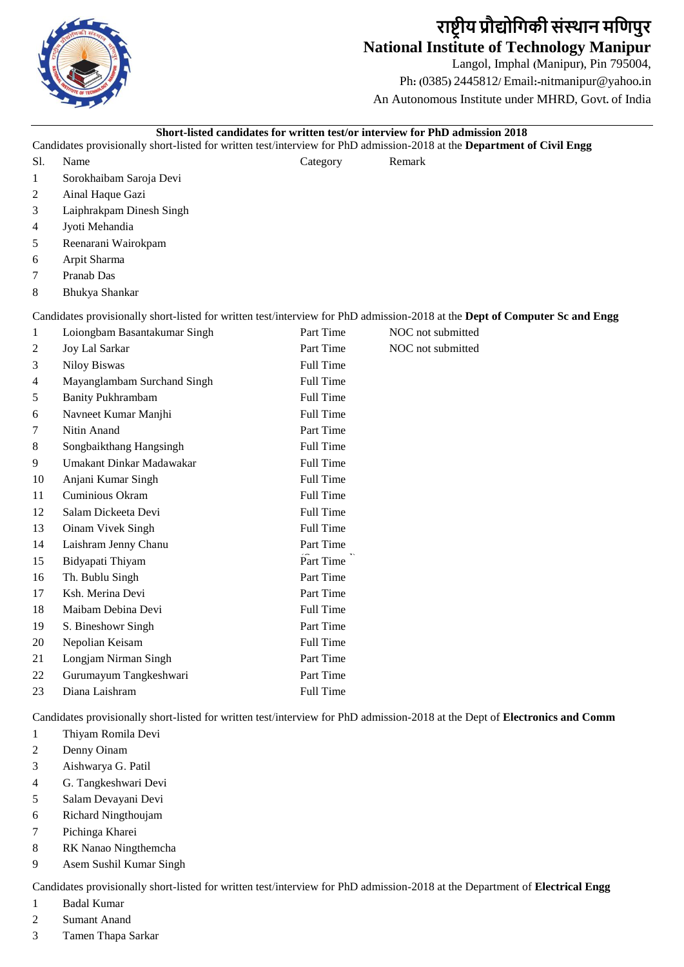

# **राष्ट्रीय प्रौद्योगिकी संस्थान मगिपुर National Institute of Technology Manipur**

Langol, Imphal **(**Manipur**)**, Pin 795004, Ph**: (**0385**)** 2445812**/** Email**:-**nitmanipur@yahoo**.**in An Autonomous Institute under MHRD, Govt**.** of India

### **Short-listed candidates for written test/or interview for PhD admission 2018**

Candidates provisionally short-listed for written test/interview for PhD admission-2018 at the **Department of Civil Engg**

Sl. Name Category Remark

- Sorokhaibam Saroja Devi
- Ainal Haque Gazi
- Laiphrakpam Dinesh Singh
- Jyoti Mehandia
- Reenarani Wairokpam
- Arpit Sharma
- Pranab Das
- Bhukya Shankar

Candidates provisionally short-listed for written test/interview for PhD admission-2018 at the **Dept of Computer Sc and Engg**

| 1  | Loiongbam Basantakumar Singh | Part Time        | NOC not submitted |
|----|------------------------------|------------------|-------------------|
| 2  | <b>Joy Lal Sarkar</b>        | Part Time        | NOC not submitted |
| 3  | <b>Niloy Biswas</b>          | Full Time        |                   |
| 4  | Mayanglambam Surchand Singh  | Full Time        |                   |
| 5  | <b>Banity Pukhrambam</b>     | Full Time        |                   |
| 6  | Navneet Kumar Manjhi         | Full Time        |                   |
| 7  | Nitin Anand                  | Part Time        |                   |
| 8  | Songbaikthang Hangsingh      | <b>Full Time</b> |                   |
| 9  | Umakant Dinkar Madawakar     | Full Time        |                   |
| 10 | Anjani Kumar Singh           | Full Time        |                   |
| 11 | Cuminious Okram              | Full Time        |                   |
| 12 | Salam Dickeeta Devi          | Full Time        |                   |
| 13 | Oinam Vivek Singh            | Full Time        |                   |
| 14 | Laishram Jenny Chanu         | Part Time        |                   |
| 15 | Bidyapati Thiyam             | Part Time        |                   |
| 16 | Th. Bublu Singh              | Part Time        |                   |
| 17 | Ksh. Merina Devi             | Part Time        |                   |
| 18 | Maibam Debina Devi           | Full Time        |                   |
| 19 | S. Bineshowr Singh           | Part Time        |                   |
| 20 | Nepolian Keisam              | Full Time        |                   |
| 21 | Longjam Nirman Singh         | Part Time        |                   |
| 22 | Gurumayum Tangkeshwari       | Part Time        |                   |
| 23 | Diana Laishram               | Full Time        |                   |

Candidates provisionally short-listed for written test/interview for PhD admission-2018 at the Dept of **Electronics and Comm**

- Thiyam Romila Devi
- Denny Oinam
- Aishwarya G. Patil
- G. Tangkeshwari Devi
- Salam Devayani Devi
- Richard Ningthoujam
- Pichinga Kharei
- RK Nanao Ningthemcha
- Asem Sushil Kumar Singh

Candidates provisionally short-listed for written test/interview for PhD admission-2018 at the Department of **Electrical Engg**

- Badal Kumar
- Sumant Anand
- Tamen Thapa Sarkar